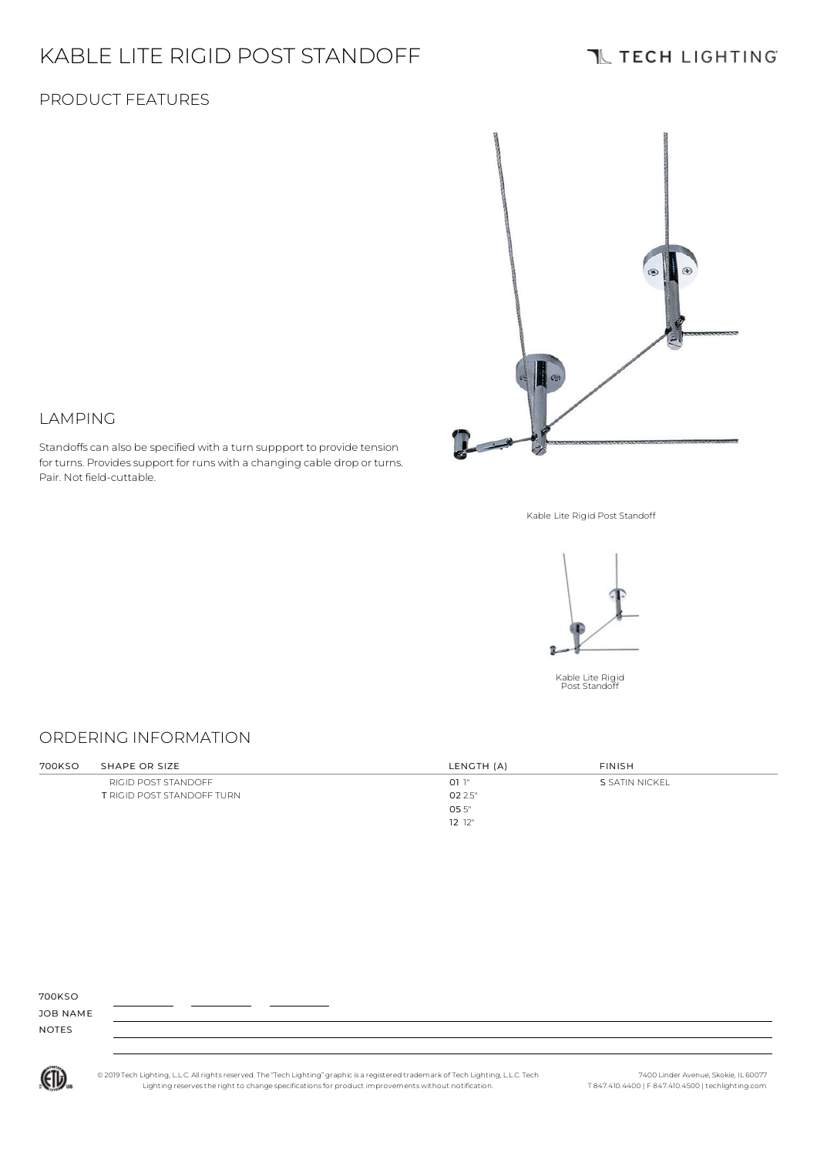# KABLE LITE RIGID POST STANDOFF

Standoffs can also be specified with a turn suppport to provide tension for turns. Provides support for runs with a changing cable drop or turns.

### **IL TECH LIGHTING**

### PRODUCT FEATURES

LAMPING

Pair. Not field-cuttable.



Kable Lite Rigid Post Standoff



### ORDERING INFORMATION

| 700KSO | SHAPE OR SIZE                     | LENGTH (A) | <b>FINISH</b>  |  |
|--------|-----------------------------------|------------|----------------|--|
|        | RIGID POST STANDOFF               | 011"       | S SATIN NICKEL |  |
|        | <b>T RIGID POST STANDOFF TURN</b> | 02 2.5"    |                |  |
|        |                                   | 055"       |                |  |
|        |                                   | 12 12"     |                |  |

#### 700KSO

JOB NAME NOTES



© 2019 Tech Lighting, L.L.C. All rightsreserved. The "Tech Lighting" graphicis a registered trademark of Tech Lighting, L.L.C. Tech Lighting reservesthe right to change specificationsfor product improvements without notification.

7400 Linder Avenue, Skokie, IL 60077 T 847.410.4400 | F 847.410.4500 | techlighting.com